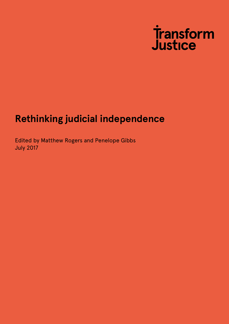

### **Rethinking judicial independence**

Edited by Matthew Rogers and Penelope Gibbs July 2017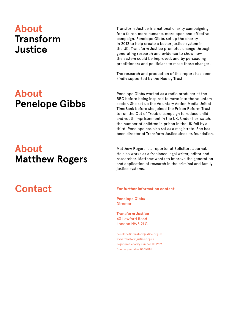### **About Transform Justice**

# **About Penelope Gibbs**

# **About Matthew Rogers**

# **Contact**

Transform Justice is a national charity campaigning for a fairer, more humane, more open and effective campaign. Penelope Gibbs set up the charity in 2012 to help create a better justice system in the UK. Transform Justice promotes change through generating research and evidence to show how the system could be improved, and by persuading practitioners and politicians to make those changes.

The research and production of this report has been kindly supported by the Hadley Trust.

Penelope Gibbs worked as a radio producer at the BBC before being inspired to move into the voluntary sector. She set up the Voluntary Action Media Unit at TimeBank before she joined the Prison Reform Trust to run the Out of Trouble campaign to reduce child and youth imprisonment in the UK. Under her watch, the number of children in prison in the UK fell by a third. Penelope has also sat as a magistrate. She has been director of Transform Justice since its foundation.

Matthew Rogers is a reporter at Solicitors Journal. He also works as a freelance legal writer, editor and researcher. Matthew wants to improve the generation and application of research in the criminal and family justice systems.

**For further information contact:**

**Penelope Gibbs** Director

**Transform Justice** 43 Lawford Road London NW5 2LG

penelope@transformjustice.org.uk www.transformjustice.org.uk Registered charity number 1150989 Company number 08031781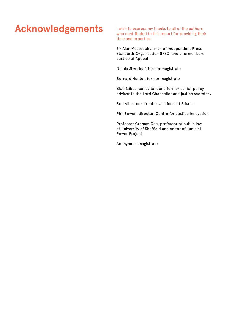# Acknowledgements I wish to express my thanks to all of the authors

who contributed to this report for providing their time and expertise.

Sir Alan Moses, chairman of Independent Press Standards Organisation (IPSO) and a former Lord Justice of Appeal

Nicola Silverleaf, former magistrate

Bernard Hunter, former magistrate

Blair Gibbs, consultant and former senior policy advisor to the Lord Chancellor and justice secretary

Rob Allen, co-director, Justice and Prisons

Phil Bowen, director, Centre for Justice Innovation

Professor Graham Gee, professor of public law at University of Sheffield and editor of Judicial Power Project

Anonymous magistrate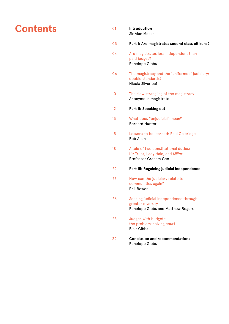### **Contents**  $\qquad \qquad$

- **Introduction** Sir Alan Moses
- 03 **Part I: Are magistrates second class citizens?**
- 04 Are magistrates less independent than paid judges? Penelope Gibbs
- 06 The magistracy and the 'uniformed' judiciary: double standards? Nicola Silverleaf
- 10 The slow strangling of the magistracy Anonymous magistrate
- 12 **Part II: Speaking out**
- 13 What does "unjudicial" mean? Bernard Hunter
- 15 Lessons to be learned: Paul Coleridge Rob Allen
- 18 A tale of two constitutional duties: Liz Truss, Lady Hale, and *Miller* Professor Graham Gee
- 22 **Part III: Regaining judicial independence**
- 23 How can the judiciary relate to communities again? Phil Bowen
- 26 Seeking judicial independence through greater diversity Penelope Gibbs and Matthew Rogers
- 28 Judges with budgets: the problem-solving court Blair Gibbs
- 32 **Conclusion and recommendations** Penelope Gibbs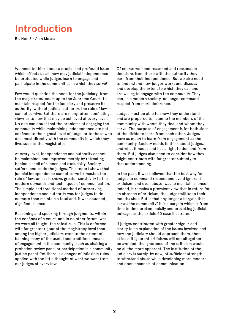# **Introduction**

Rt. Hon Sir Alan Moses

We need to think about a crucial and profound issue which affects us all: how may judicial independence be protected while judges learn to engage and participate in the communities in which they serve?

Few would question the need for the judiciary, from the magistrates' court up to the Supreme Court, to maintain respect for the judiciary and preserve its authority; without judicial authority, the rule of law cannot survive. But there are many, often conflicting, views as to how that may be achieved at every level. No one can doubt that the problems of engaging the community while maintaining independence are not confined to the highest level of judge, or to those who deal most directly with the community in which they live, such as the magistrates.

At every level, independence and authority cannot be maintained and improved merely by retreating behind a shell of silence and exclusivity. Society suffers, and so do the judges. This report shows that judicial independence cannot serve its master, the rule of law, unless it shows greater sensitivity to the modern demands and techniques of communication. The simple and traditional method of preserving independence and authority was for judges to do no more than maintain a total and, it was assumed, dignified, silence.

Reasoning and speaking through judgments, within the confines of a court, and in no other forum, was, we were all taught, the safest rule. This is enforced with far greater rigour at the magistracy level than among the higher judiciary, even to the extent of banning many of the useful and traditional means of engagement in the community, such as chairing a probation review panel or participation in a community justice panel. Yet there is a danger of inflexible rules, applied with too little thought of what we want from our judges at every level.

Of course we need reasoned and reasonable decisions from those with the authority they earn from their independence. But we also need to understand how judges work, and discuss and develop the extent to which they can and are willing to engage with the community. They can, in a modern society, no longer command respect from mere deference.

Judges must be able to show they understand and are prepared to listen to the members of the community with whom they deal and whom they serve. The purpose of engagement is for both sides of the divide to learn from each other. Judges have as much to learn from engagement as the community. Society needs to think about judges, and what it needs and has a right to demand from them. But judges also need to consider how they might contribute with far greater subtlety to that understanding.

In the past, it was believed that the best way for judges to command respect and avoid ignorant criticism, and even abuse, was to maintain silence. Indeed, it remains a prevalent view that in return for an absence of criticism, the judges will keep their mouths shut. But is that any longer a bargain that serves the community? It is a bargain which is from time to time broken, noisily and provoking judicial outrage, as the article 50 case illustrated.

If judges contributed with greater vigour and clarity to an explanation of the issues involved and how the judiciary should approach them, then, at least if ignorant criticisms will not altogether be avoided, the ignorance of the criticism would be all the more apparent. The institution of the judiciary is surely, by now, of sufficient strength to withstand abuse while developing more modern and open channels of communication.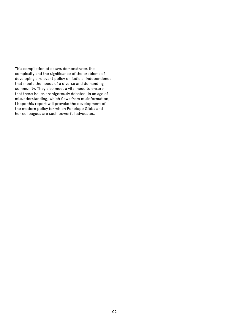This compilation of essays demonstrates the complexity and the significance of the problems of developing a relevant policy on judicial independence that meets the needs of a diverse and demanding community. They also meet a vital need to ensure that these issues are vigorously debated. In an age of misunderstanding, which flows from misinformation, I hope this report will provoke the development of the modern policy for which Penelope Gibbs and her colleagues are such powerful advocates.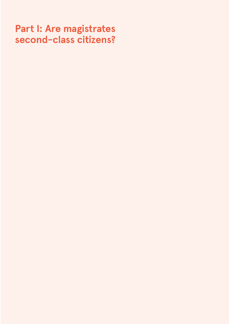# **Part I: Are magistrates second-class citizens?**

- 
- 
- -
	- -
		-
		-
		-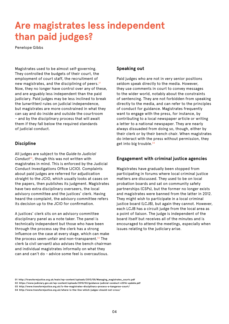# **Are magistrates less independent than paid judges?**

Penelope Gibbs

Magistrates used to be almost self-governing. They controlled the budgets of their court, the employment of court staff, the recruitment of new magistrates, and the disciplining of peers.<sup>01</sup> Now, they no longer have control over any of these, and are arguably less independent than the paid judiciary. Paid judges may be less inclined to break the (unwritten) rules on judicial independence, but magistrates are more constrained in what they can say and do inside and outside the courtroom – and by the disciplinary process that will await them if they fall below the required standards of judicial conduct.

#### **Discipline**

All judges are subject to the *Guide to Judicial*  Conduct<sup>02</sup>, though this was not written with magistrates in mind. This is enforced by the Judicial Conduct Investigations Office (JCIO). Complaints about paid judges are referred for adjudication straight to the JCIO, which usually looks at cases on the papers, then publishes its judgment. Magistrates have two extra disciplinary overseers, the local advisory committee and the justices' clerk. Having heard the complaint, the advisory committee refers its decision up to the JCIO for confirmation.

A justices' clerk sits on an advisory committee disciplinary panel as a note taker. The panel is technically independent but those who have been through the process say the clerk has a strong influence on the case at every stage, which can make the process seem unfair and non-transparent.<sup>03</sup> The clerk (a civil servant) also advises the bench chairman and individual magistrates informally on what they can and can't do - advice some feel is overcautious.

#### **Speaking out**

Paid judges who are not in very senior positions seldom speak directly to the media. However, they use comments in court to convey messages to the wider world, notably about the constraints of sentencing. They are not forbidden from speaking directly to the media, and can refer to the principles of conduct for guidance. Magistrates frequently want to engage with the press, for instance, by contributing to a local newspaper article or writing a letter to a national newspaper. They are nearly always dissuaded from doing so, though, either by their clerk or by their bench chair. When magistrates do interact with the press without permission, they get into big trouble.<sup>04</sup>

#### **Engagement with criminal justice agencies**

Magistrates have gradually been stopped from participating in forums where local criminal justice matters are discussed. They used to be on local probation boards and sat on community safety partnerships (CSPs), but the former no longer exists and magistrates were banned from the latter in 2012. They might wish to participate in a local criminal justice board (LCJB), but again they cannot. However, each LCJB has a circuit judge from the local area as a point of liaison. The judge is independent of the board itself but receives all of the minutes and is encouraged to attend the meetings, especially when issues relating to the judiciary arise.

**<sup>01</sup> http://transformjustice.org.uk/main/wp-content/uploads/2013/05/Managing\_magistrates\_courts.pdf**

**<sup>02</sup> https://www.judiciary.gov.uk/wp-content/uploads/2010/02/guidance-judicial-conduct-v2016-update.pdf** 

**<sup>03</sup> http://www.transformjustice.org.uk/is-the-magistrates-disciplinary-process-a-kangaroo-court/**

**<sup>04</sup> http://www.transformjustice.org.uk/where-is-the-line-which-judges-should-not-cross/**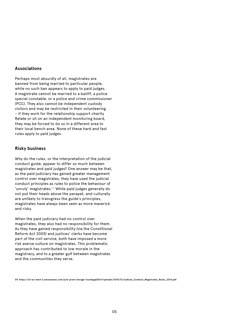#### **Associations**

Perhaps most absurdly of all, magistrates are banned from being married to particular people, while no such ban appears to apply to paid judges. A magistrate cannot be married to a bailiff, a police special constable, or a police and crime commissioner (PCC). They also cannot be independent custody visitors and may be restricted in their volunteering – if they work for the relationship support charity Relate or sit on an independent monitoring board, they may be forced to do so in a different area to their local bench area. None of these hard and fast rules apply to paid judges.

#### **Risky business**

Why do the rules, or the interpretation of the judicial conduct guide, appear to differ so much between magistrates and paid judges? One answer may be that, as the paid judiciary has gained greater management control over magistrates, they have used the judicial conduct principles as *rules* to police the behaviour of 'unruly' magistrates.<sup>05</sup> While paid judges generally do not put their heads above the parapet, and culturally are unlikely to transgress the guide's principles, magistrates have always been seen as more maverick and risky.

When the paid judiciary had no control over magistrates, they also had no responsibility for them. As they have gained responsibility (via the Constitional Reform Act 2005) and justices' clerks have become part of the civil service, both have imposed a more risk averse culture on magistrates. This problematic approach has contributed to low morale in the magistracy, and to a greater gulf between magistrates and the communities they serve.

**05 https://s3-eu-west-2.amazonaws.com/jcio-prod-storage-1xuw6pgd2b1rf/uploads/2015/12/Judicial\_Conduct\_Magistrates\_Rules\_2014.pdf**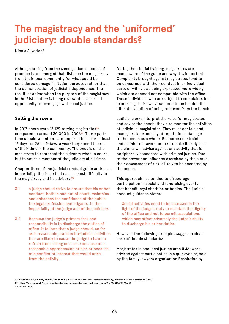# **The magistracy and the 'uniformed' judiciary: double standards?**

Nicola Silverleaf

Although arising from the same guidance, codes of practice have emerged that distance the magistracy from their local community for what could be considered damage limitation purposes rather than the demonstration of judicial independence. The result, at a time when the purpose of the magistracy in the 21st century is being reviewed, is a missed opportunity to re-engage with local justice.

#### **Setting the scene**

In 2017, there were 16,129 serving magistrates $06$ compared to around 30,000 in 2006<sup>07</sup>. These parttime unpaid volunteers are required to sit for at least 13 days, or 26 half-days, a year; they spend the rest of their time in the community. The onus is on the magistrate to represent the citizenry when in court, but to act as a member of the judiciary at all times.

Chapter three of the judicial conduct guide addresses impartiality, the issue that causes most difficulty to the magistracy and its advisers.<sup>08</sup>

- 3.1 A judge should strive to ensure that his or her conduct, both in and out of court, maintains and enhances the confidence of the public, the legal profession and litigants, in the impartiality of the judge and of the judiciary.
- 3.2 Because the judge's primary task and responsibility is to discharge the duties of office, it follows that a judge should, so far as is reasonable, avoid extra-judicial activities that are likely to cause the judge to have to refrain from sitting on a case because of a reasonable apprehension of bias or because of a conflict of interest that would arise from the activity.

During their initial training, magistrates are made aware of the guide and why it is important. Complaints brought against magistrates tend to be concerned with their conduct in an individual case, or with views being expressed more widely, which are deemed not compatible with the office. Those individuals who are subject to complaints for expressing their own views tend to be handed the ultimate sanction of being removed from the bench.

Judicial clerks interpret the rules for magistrates and advise the bench; they also monitor the activities of individual magistrates. They must contain and manage risk, especially of reputational damage to the bench as a whole. Resource constraints and an inherent aversion to risk make it likely that the clerks will advise against any activity that is peripherally connected with criminal justice. Due to the power and influence exercised by the clerks, their assessment of risk is likely to be accepted by the bench.

This approach has tended to discourage participation in social and fundraising events that benefit legal charities or bodies. The judicial conduct guidance states:

Social activities need to be assessed in the light of the judge's duty to maintain the dignity of the office and not to permit associations which may affect adversely the judge's ability to discharge his or her duties.

However, the following examples suggest a clear case of double standards:

Magistrates in one local justice area (LJA) were advised against participating in a quiz evening held by the family lawyers organisation Resolution by

**<sup>06</sup> https://www.judiciary.gov.uk/about-the-judiciary/who-are-the-judiciary/diversity/judicial-diversity-statistics-2017/** 

**<sup>07</sup> https://www.gov.uk/government/uploads/system/uploads/attachment\_data/file/243134/7273.pdf** 

**<sup>08</sup> Op.cit., n.2**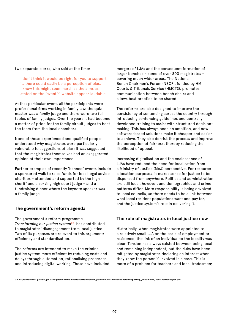two separate clerks, who said at the time:

I don't think it would be right for you to support it, there could easily be a perception of bias. I know this might seem harsh as the aims as stated on the [event's] website appear laudable.

At that particular event, all the participants were professional firms working in family law; the quiz master was a family judge and there were two full tables of family judges. Over the years it had become a matter of pride for the family circuit judges to beat the team from the local chambers.

None of those experienced and qualified people understood why magistrates were particularly vulnerable to suggestions of bias; it was suggested that the magistrates themselves had an exaggerated opinion of their own importance.

Further examples of recently 'banned' events include a sponsored walk to raise funds for local legal advice charities – attended and supported by the high sheriff and a serving high court judge – and a fundraising dinner where the keynote speaker was a family judge.

#### **The government's reform agenda**

The government's reform programme, *Transforming our justice system*09*,* has contributed to magistrates' disengagement from local justice. Two of its purposes are relevant to this argument: efficiency and standardisation.

The reforms are intended to make the criminal justice system more efficient by reducing costs and delays through automation, rationalising processes, and introducing digital working. These have included

mergers of LJAs and the consequent formation of larger benches – some of over 800 magistrates – covering much wider areas. The National Bench Chairmen's Forum (NBCF), funded by HM Courts & Tribunals Service (HMCTS), promotes communication between bench chairs and allows best practice to be shared.

The reforms are also designed to improve the consistency of sentencing across the country through introducing sentencing guidelines and centrally developed training to assist with structured decisionmaking. This has always been an ambition, and now software-based solutions make it cheaper and easier to achieve. They also de-risk the process and improve the perception of fairness, thereby reducing the likelihood of appeal.

Increasing digitalisation and the coalescence of LJAs have reduced the need for localisation from a Ministry of Justice (MoJ) perspective. For resource allocation purposes, it makes sense for justice to be dispensed from anywhere. Politics and administration are still local, however, and demographics and crime patterns differ. More responsibility is being devolved to local councils, so there needs to be a link between what local resident populations want and pay for, and the justice system's role in delivering it.

#### **The role of magistrates in local justice now**

Historically, when magistrates were appointed to a relatively small LJA on the basis of employment or residence, the link of an individual to the locality was clear. Tension has always existed between being local and remaining independent, but the risks have been mitigated by magistrates declaring an interest when they know the person(s) involved in a case. This is more of a problem for teachers and local tradesmen;

**09 https://consult.justice.gov.uk/digital-communications/transforming-our-courts-and-tribunals/supporting\_documents/consultationpaper.pdf**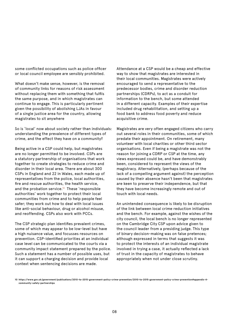some conflicted occupations such as police officer or local council employee are sensibly prohibited.

What doesn't make sense, however, is the removal of community links for reasons of risk assessment without replacing them with something that fulfils the same purpose, and in which magistrates can continue to engage. This is particularly pertinent given the possibility of abolishing LJAs in favour of a single justice area for the country, allowing magistrates to sit anywhere

So is 'local' now about society rather than individuals: understanding the prevalence of different types of crime, and the effect they have on a community?

Being active in a CSP could help, but magistrates are no longer permitted to be involved. CSPs are a statutory partnership of organisations that work together to create strategies to reduce crime and disorder in their local area. There are about 300 CSPs in England and 22 in Wales, each made up of representatives from the police, local authorities, fire and rescue authorities, the health service, and the probation service.<sup>10</sup> These 'responsible authorities' work together to protect their local communities from crime and to help people feel safer; they work out how to deal with local issues like anti-social behaviour, drug or alcohol misuse, and reoffending. CSPs also work with PCCs.

The CSP strategic plan identifies prevalent crimes, some of which may appear to be low-level but have a high nuisance value, and focusses resources on prevention. CSP-identified priorities at an individual case level can be communicated to the courts via a community impact statement prepared by the police. Such a statement has a number of possible uses, but it can support a charging decision and provide local context when sentencing decisions are made.

Attendance at a CSP would be a cheap and effective way to show that magistrates are interested in their local communities. Magistrates were actively encouraged to send a representative to the predecessor bodies, crime and disorder reduction partnerships (CDRPs), to act as a conduit for information to the bench, but some attended in a different capacity. Examples of their expertise included drug rehabilitation, and setting up a food bank to address food poverty and reduce acquisitive crime.

Magistrates are very often engaged citizens who carry out several roles in their communities, some of which predate their appointment. On retirement, many volunteer with local charities or other third sector organisations. Even if being a magistrate was not the reason for joining a CDRP or CSP at the time, any views expressed could be, and have demonstrably been, considered to represent the views of the magistracy. Alternatively, (perhaps because of the lack of a compelling argument against) the perception caused by their absence hasn't been that magistrates are keen to preserve their independence, but that they have become increasingly remote and out of touch with local needs.

An unintended consequence is likely to be disruption of the link between local crime reduction initiatives and the bench. For example, against the wishes of the city council, the local bench is no longer represented on the Cambridge City CSP upon advice given to the council leader from a presiding judge. This type of binary decision-making was on false pretences; although expressed in terms that suggests it was to protect the interests of an individual magistrate involved in trying a case, it actually reflected a lack of trust in the capacity of magistrates to behave appropriately when not under close scrutiny.

**<sup>10</sup> https://www.gov.uk/government/publications/2010-to-2015-government-policy-crime-prevention/2010-to-2015-government-policy-crime-prevention#appendix-4 community-safety-partnerships**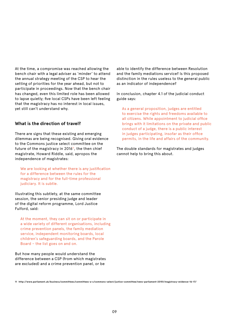At the time, a compromise was reached allowing the bench chair with a legal adviser as 'minder' to attend the annual strategy meeting of the CSP to hear the setting of priorities for the year ahead, but not to participate in proceedings. Now that the bench chair has changed, even this limited role has been allowed to lapse quietly; five local CSPs have been left feeling that the magistracy has no interest in local issues, yet still can't understand why.

#### **What is the direction of travel?**

There are signs that these existing and emerging dilemmas are being recognised. Giving oral evidence to the Commons justice select committee on the future of the magistracy in 2016 $11$ , the then chief magistrate, Howard Riddle, said, apropos the independence of magistrates:

We are looking at whether there is any justification for a difference between the rules for the magistracy and for the full-time professional judiciary. It is subtle.

Illustrating this subtlety, at the same committee session, the senior presiding judge and leader of the digital reform programme, Lord Justice Fulford, said:

At the moment, they can sit on or participate in a wide variety of different organisations, including crime prevention panels, the family mediation service, independent monitoring boards, local children's safeguarding boards, and the Parole Board – the list goes on and on.

But how many people would understand the difference between a CSP (from which magistrates are excluded) and a crime prevention panel, or be

able to identify the difference between Resolution and the family mediations service? Is this proposed distinction in the rules useless to the general public as an indicator of independence?

In conclusion, chapter 4.1 of the judicial conduct guide says:

As a general proposition, judges are entitled to exercise the rights and freedoms available to all citizens. While appointment to judicial office brings with it limitations on the private and public conduct of a judge, there is a public interest in judges participating, insofar as their office permits, in the life and affairs of the community.

The double standards for magistrates and judges cannot help to bring this about.

**11 http://www.parliament.uk/business/committees/committees-a-z/commons-select/justice-committee/news-parliament-20151/magistracy-evidence-16-17/**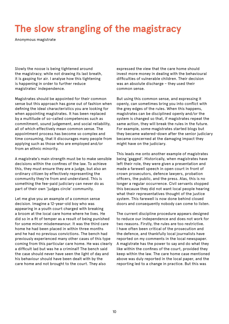# **The slow strangling of the magistracy**

Anonymous magistrate

Slowly the noose is being tightened around the magistracy; while not drawing its last breath, it is gasping for air. I analyse how this tightening is happening in order to further reduce magistrates' independence.

Magistrates should be appointed for their common sense but this approach has gone out of fashion when defining the ideal characteristics you are looking for when appointing magistrates. It has been replaced by a multitude of so-called competences such as commitment, sound judgement, and social reliability, all of which effectively mean common sense. The appointment process has become so complex and time consuming, that it discourages many people from applying such as those who are employed and/or from an ethnic minority.

A magistrate's main strength must be to make sensible decisions within the confines of the law. To achieve this, they must ensure they are a judge, but also an ordinary citizen by effectively representing the community they're from and understand. This is something the fee-paid judiciary can never do as part of their own 'judges circle' community.

Let me give you an example of a common sense decision. Imagine a 12-year-old boy who was appearing in a youth court charged with breaking a broom at the local care home where he lives. He did so in a fit of temper as a result of being punished for some minor misdemeanour. It was the third care home he had been placed in within three months and he had no previous convictions. The bench had previously experienced many other cases of this type coming from this particular care home. He was clearly a difficult lad but was he a criminal? The bench said the case should never have seen the light of day and his behaviour should have been dealt with by the care home and not brought to the court. They also

expressed the view that the care home should invest more money in dealing with the behavioural difficulties of vulnerable children. Their decision was an absolute discharge – they used their common sense.

But using this common sense, and expressing it openly, can sometimes bring you into conflict with the grey edges of the rules. When this happens, magistrates can be disciplined openly and/or the system is changed so that, if magistrates repeat the same action, they will break the rules in the future. For example, some magistrates started blogs but they became watered-down after the senior judiciary became concerned at the damaging impact they might have on the judiciary.

This leads me onto another example of magistrates being 'gagged'. Historically, when magistrates have left their role, they were given a presentation and made a farewell speech in open court in front of crown prosecutors, defence lawyers, probation officers, the public, and the press. Alas, this is no longer a regular occurrence. Civil servants stopped this because they did not want local people hearing what their representatives thought of the justice system. This farewell is now done behind closed doors and consequently nobody can come to listen.

The current discipline procedure appears designed to reduce our independence and does not work for two reasons. Firstly, the rules are too restrictive. I have often been critical of the prosecution and the defence, and thankfully local journalists have reported on my comments in the local newspaper. A magistrate has the power to say and do what they like within the confines of the court, provided they keep within the law. The care home case mentioned above was duly reported in the local paper, and the reporting led to a change in practice. But this was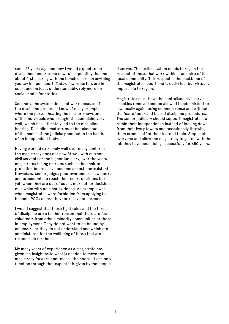some 15 years ago and now I would expect to be disciplined under some new rule – possibly the one about first clearing with the bench chairman anything you say in open court. Today, few reporters are in court and instead, understandably, rely more on social media for stories.

Secondly, the system does not work because of the discipline process. I know of many examples where the person hearing the matter knows one of the individuals who brought the complaint very well, which has ultimately led to the discipline hearing. Discipline matters must be taken out of the hands of the judiciary and put in the hands of an independent body.

Having worked extremely well over many centuries, the magistracy does not now fit well with current civil servants or the higher judiciary; over the years, magistrates taking on roles such as the chair of probation boards have become almost non-existent. Nowadays, senior judges pour over endless law books and precedents to reach their court decisions but yet, when they are out of court, make other decisions on a whim with no clear evidence. An example was when magistrates were forbidden from applying to become PCCs unless they took leave of absence.

I would suggest that these tight rules and the threat of discipline are a further reason that there are few volunteers from ethnic minority communities or those in employment. They do not want to be bound by endless rules they do not understand and which are administered for the wellbeing of those that are responsible for them.

My many years of experience as a magistrate has given me insight as to what is needed to move the magistracy forward and release the noose. It can only function through the respect it is given by the people

it serves. The justice system needs to regain the respect of those that work within it and also of the local community. This respect is the backbone of the magistrates' court and is easily lost but virtually impossible to regain.

Magistrates must have the centralised civil service shackles removed and be allowed to administer the law locally again, using common sense and without the fear of poor and biased discipline procedures. The senior judiciary should support magistrates to retain their independence instead of looking down from their ivory towers and occasionally throwing them crumbs off of their learned table. Step back everyone and allow the magistracy to get on with the job they have been doing successfully for 650 years.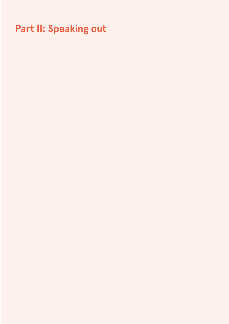# **Part II: Speaking out**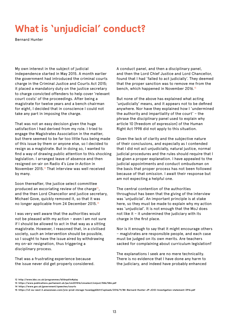# **What is 'unjudicial' conduct?**

Bernard Hunter

My own interest in the subject of judicial independence started in May 2015. A month earlier the government had introduced the criminal courts charge in the Criminal Justice and Courts Act 2015; it placed a mandatory duty on the justice secretary to charge convicted offenders to help cover 'relevant court costs' of the proceedings. After being a magistrate for twelve years and a bench chairman for eight, I decided that in conscience I could not take any part in imposing the charge.

That was not an easy decision given the huge satisfaction I had derived from my role. I tried to engage the Magistrates Association in the matter, but there seemed to be far too little fuss being made of this issue by them or anyone else, so I decided to resign as a magistrate. But in doing so, I wanted to find a way of drawing public attention to this shocking legislation. I arranged leave of absence and then resigned on-air on Radio 4's *Law in Action* in November 2015.12 That interview was well received by many.

Soon thereafter, the justice select committee produced an excoriating review of the charge<sup>13</sup>, and the then Lord Chancellor and justice secretary, Michael Gove, quickly removed it, so that it was no longer applicable from 24 December 2015.14

I was very well aware that the authorities would not be pleased with my action – even I am not sure if I should be allowed to act in that way as a sitting magistrate. However, I reasoned that, in a civilised society, such an intervention should be possible, so I sought to have the issue aired by withdrawing my on-air resignation, thus triggering a disciplinary process.

That was a frustrating experience because the issue never did get properly considered. A conduct panel, and then a disciplinary panel, and then the Lord Chief Justice and Lord Chancellor, found that I had 'failed to act judicially'. They deemed that the proper sanction was to remove me from the bench, which happened in November 2016.<sup>15</sup>

But none of the above has explained what acting 'unjudicially' means, and it appears not to be defined anywhere. Nor have they explained how I 'undermined the authority and impartiality of the court' – the phrase the disciplinary panel used to explain why article 10 [freedom of expression] of the Human Right Act 1998 did not apply to this situation.

Given the lack of clarity and the subjective nature of their conclusions, and especially as I contended that I did not act unjudicially, natural justice, normal judicial procedures and the rules should require that I be given a proper explanation. I have appealed to the judicial appointments and conduct ombudsman on the basis that proper process has not been followed because of that omission. I await their response but am not expecting a helpful one.

The central contention of the authorities throughout has been that the giving of the interview was 'unjudicial'. An important principle is at stake here, so they must be made to explain why my action was 'unjudicial'. It is not enough that the MoJ does not like it – it undermined the judiciary with its charge in the first place.

Nor is it enough to say that it might encourage others – magistrates are responsible people, and each case must be judged on its own merits. Are teachers sacked for complaining about curriculum legislation?

The explanations I seek are no mere technicality. There is no evidence that I have done any harm to the judiciary, and indeed have probably enhanced

**<sup>12</sup> http://www.bbc.co.uk/programmes/b06np61n#play** 

**<sup>13</sup> https://www.publications.parliament.uk/pa/cm201516/cmselect/cmjust/586/586.pdf** 

**<sup>14</sup> https://www.gov.uk/government/speeches/courts** 

**<sup>15</sup> https://s3-eu-west-2.amazonaws.com/jcio-prod-storage-1xuw6pgd2b1rf/uploads/2016/11/Mr-Bernard-Hunter-JP-JCIO-Investigation-statement-3916.pdf**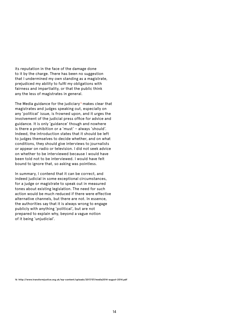its reputation in the face of the damage done to it by the charge. There has been no suggestion that I undermined my own standing as a magistrate, prejudiced my ability to fulfil my obligations with fairness and impartiality, or that the public think any the less of magistrates in general.

The Media guidance for the judiciary<sup>16</sup> makes clear that magistrates and judges speaking out, especially on any 'political' issue, is frowned upon, and it urges the involvement of the judicial press office for advice and guidance. It is only 'guidance' though and nowhere is there a prohibition or a 'must' – always 'should'. Indeed, the introduction states that it should be left to judges themselves to decide whether, and on what conditions, they should give interviews to journalists or appear on radio or television. I did not seek advice on whether to be interviewed because I would have been told not to be interviewed. I would have felt bound to ignore that, so asking was pointless.

In summary, I contend that it can be correct, and indeed judicial in some exceptional circumstances, for a judge or magistrate to speak out in measured tones about existing legislation. The need for such action would be much reduced if there were effective alternative channels, but there are not. In essence, the authorities say that it is always wrong to engage publicly with anything 'political', but are not prepared to explain why, beyond a vague notion of it being 'unjudicial'.

**16 http://www.transformjustice.org.uk/wp-content/uploads/2017/07/media2014-august-2014.pdf**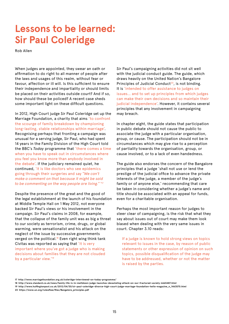# **Lessons to be learned: Sir Paul Coleridge**

Rob Allen

When judges are appointed, they swear an oath or affirmation to do right to all manner of people after the laws and usages of this realm, without fear or favour, affection or ill will. Is this sufficient to ensure their independence and impartiality or should limits be placed on their activities outside court? And if so, how should these be policed? A recent case sheds some important light on these difficult questions.

In 2012, High Court judge Sir Paul Coleridge set up the Marriage Foundation, a charity that aims 'to confront the scourge of family breakdown by championing long-lasting, stable relationships within marriage'. Recognising perhaps that fronting a campaign was unusual for a serving judge, Sir Paul, who had spent 14 years in the Family Division of the High Court told the BBC's *Today* programme that 'there comes a time when you have to speak out in circumstances where you feel you know more than anybody involved in the debate'. If the judiciary remained quiet, he continued, 'it is like doctors who see epidemics going through their surgeries and say *"We can't make a comment on that because it might be said to be commenting on the way people are living." '*<sup>17</sup>

Despite the presence of the great and the good of the legal establishment at the launch of his foundation at Middle Temple Hall on 1 May 2012, not everyone backed Sir Paul's views or his involvement in the campaign. Sir Paul's claims in 2008, for example, that the collapse of the family unit was as big a threat to our society as terrorism, crime, drugs, or global warming, were sensationalist and his attack on the neglect of the issue by successive governments verged on the political.<sup>18</sup> Even right wing think tank Civitas was reported as saying that 'it is very important where you've got a judge who is making decisions about families that they are not clouded by a particular view.'19

Sir Paul's campaigning activities did not sit well with the judicial conduct guide. The guide, which draws heavily on the United Nation's Bangalore Principles of Judicial Conduct $20$ , is not binding. It is 'intended to offer assistance to judges on issues… and to set up principles from which judges can make their own decisions and so maintain their judicial independence'. However, it contains several principles that any involvement in campaigning may breach.

In chapter eight, the guide states that participation in public debate should not cause the public to associate the judge with a particular organisation, group, or cause. The participation should not be in circumstances which may give rise to a perception of partiality towards the organisation, group, or cause involved, or to a lack of even handedness.

The guide also endorses the concern of the Bangalore principles that a judge 'shall not use or lend the prestige of the judicial office to advance the private interests of the judge, a member of the judge's family or of anyone else,' recommending that care be taken in considering whether a judge's name and title should be associated with an appeal for funds, even for a charitable organisation.

Perhaps the most important reason for judges to steer clear of campaigning, is the risk that what they say about issues out of court may make them look biased when dealing with the very same issues in court. Chapter 3.10 reads:

If a judge is known to hold strong views on topics relevant to issues in the case, by reason of public statements or other expression of opinion on such topics, possible disqualification of the judge may have to be addressed, whether or not the matter is raised by the parties.

**<sup>17</sup> http://www.marriagefoundation.org.uk/coleridge-interviewed-on-today-programme/**

**<sup>18</sup> http://www.standard.co.uk/news/family-life-is-in-meltdown-judge-launches-devastating-attack-on-our-fractured-society-6665487.html** 

**<sup>19</sup> http://www.huffingtonpost.co.uk/2012/04/30/sir-paul-coleridge-divorce-high-court-judge-marriage-foundation-hello-magazine\_n\_1463570.html 20 https://www.un.org/ruleoflaw/files/Bangalore\_principles.pdf**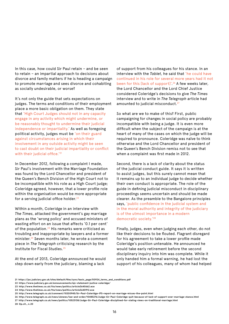In this case, how could Sir Paul retain – and be seen to retain – an impartial approach to decisions about divorce and family matters if he is heading a campaign to promote marriage and sees divorce and cohabiting as socially undesirable, or worse?

It's not only the guide that sets expectations on judges. The terms and conditions of their employment place a more basic obligation on them. They state that 'High Court Judges should not in any capacity engage in any activity which might undermine, or be reasonably thought to undermine their judicial independence or impartiality.' As well as foregoing political activity, judges must be 'on their guard against circumstances arising in which their involvement in any outside activity might be seen to cast doubt on their judicial impartiality or conflict with their judicial office.<sup>'21</sup>

In December 2012, following a complaint I made, Sir Paul's involvement with the Marriage Foundation was found by the Lord Chancellor and president of the Queen's Bench Division of the High Court not to be incompatible with his role as a High Court judge; Coleridge agreed, however, that a lower profile role within the organisation would be more appropriate for a serving judicial office holder. $22$ 

Within a month, Coleridge in an interview with *The Times*, attacked the government's gay marriage plans as the 'wrong policy' and accused ministers of wasting effort on an issue that affects '0.1 per cent' of the population. $23$  His remarks were criticised as troubling and inappropriate by lawyers and a former minister.<sup>24</sup> Seven months later, he wrote a comment piece in *The Telegraph* criticising research by the Institute for Fiscal Studies.25

At the end of 2013, Coleridge announced he would step down early from the judiciary, blaming a lack

of support from his colleagues for his stance. In an interview with the *Tablet*, he said that 'he could have continued in his role for several more years had it not been for this [lack of support]'. 26 A few weeks later, the Lord Chancellor and the Lord Chief Justice considered Coleridge's decisions to give *The Times* interview and to write in *The Telegraph* article had amounted to judicial misconduct.<sup>27</sup>

So what are we to make of this? First, public campaigning for changes in social policy are probably incompatible with being a judge. It is even more difficult when the subject of the campaign is at the heart of many of the cases on which the judge will be required to pronounce. Coleridge was naïve to think otherwise and the Lord Chancellor and president of the Queen's Bench Division remiss not to see that when a complaint was first made in 2012.

Second, there is a lack of clarity about the status of the judicial conduct guide. It says it is written to assist judges, but this surely cannot mean that it remains up to an individual judge to decide whether their own conduct is appropriate. The role of the guide in defining judicial misconduct in disciplinary proceedings seems uncertain and should be made clearer. As the preamble to the Bangalore principles says, 'public confidence in the judicial system and in the moral authority and integrity of the judiciary is of the utmost importance in a modern democratic society.'28

Finally, judges, even when judging each other, do not like their decisions to be flouted. Flagrant disregard for his agreement to take a lower profile made Coleridge's position untenable. He announced he would take early retirement before the second disciplinary inquiry into him was complete. While it only handed him a formal warning, he had lost the support of his colleagues, many of whom had helped

**28 Op.cit., n.20**

**<sup>21</sup> https://jac.judiciary.gov.uk/sites/default/files/sync/basic\_page/00924\_terms\_and\_conditions.pdf** 

**<sup>22</sup> https://www.judiciary.gov.uk/announcements/ojc-statement-justice-coleridge/** 

**<sup>23</sup> http://www.thetimes.co.uk/tto/news/politics/article3640662.ece** 

**<sup>24</sup> http://www.thetimes.co.uk/tto/news/politics/article3640912.ece** 

**<sup>25</sup> http://www.telegraph.co.uk/comment/10200945/Sir-Paul-Coleridge-IFS-report-on-marriage-misses-the-point.html** 

**<sup>26</sup> http://www.telegraph.co.uk/news/uknews/law-and-order/10485276/Judge-Sir-Paul-Coleridge-quit-because-of-lack-of-support-over-marriage-stance.html** 

**<sup>27</sup> http://www.telegraph.co.uk/news/politics/10523138/Judge-Sir-Paul-Coleridge-disciplined-for-stating-views-on-traditional-marriage.html**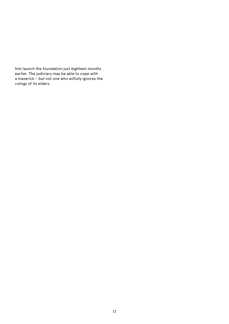him launch the foundation just eighteen months earlier. The judiciary may be able to cope with a maverick – but not one who wilfully ignores the rulings of its elders.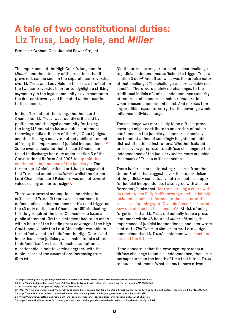# **A tale of two constitutional duties: Liz Truss, Lady Hale, and** *Miller*

Professor Graham Gee, Judicial Power Project

The importance of the High Court's judgment in *Miller*29, and the intensity of the reactions that it provoked, can be seen in the separate controversies over Liz Truss and Lady Hale. In this essay, I reflect on the two controversies in order to highlight a striking asymmetry in the legal community's overreaction to the first controversy and its muted under-reaction to the second.

In the aftermath of the ruling, the then Lord Chancellor, Liz Truss, was roundly criticized by politicians and the legal community for taking too long (48 hours) to issue a public statement following media criticism of the High Court judges and then issuing a mealy-mouthed public statement affirming the importance of judicial independence.<sup>30</sup> Some even speculated that the Lord Chancellor failed to discharge her duty under section 3 of the Constitutional Reform Act 2005 to 'uphold the continued independence of the judiciary'. 31 The former Lord Chief Justice, Lord Judge, suggested that Truss had acted unlawfully $32$ , whilst the former Lord Chancellor, Lord Falconer, was one of several voices calling on her to resign $33$ .

There were several assumptions underlying the criticisms of Truss: (i) there was a clear need to defend judicial independence; (ii) this need triggered the s3 duty on the Lord Chancellor; (iii) vindicating this duty required the Lord Chancellor to issue a public statement; (iv) this statement had to be made within hours of the hostile press coverage of the High Court; and (v) only the Lord Chancellor was able to take effective action to defend the High Court, and in particular the judiciary was unable to take steps to defend itself. As I see it, each assumption is questionable, albeit to varying degrees, with the dubiousness of the assumptions increasing from (i) to (v).

Did the press coverage represent a clear challenge to judicial independence sufficient to trigger Truss's section 3 duty? And, if so, what was the precise nature of that challenge? The challenge was presumably not specific. There were plainly no challenges to the traditional indicia of judicial independence (security of tenure, stable and reasonable remuneration, wmerit-based appointments, etc). And nor was there any credible reason to worry that the coverage would influence individual judges.

The challenge was more likely to be diffuse: press coverage might contribute to an erosion of public confidence in the judiciary, a concern especially pertinent at a time of seemingly heightened public distrust of national institutions. Whether isolated press coverage represents a diffuse challenge to the independence of the judiciary seems more arguable than many of Truss's critics concede.

There is, for a start, interesting research from the United States that suggests over-the-top criticism of the judiciary can actually buttress public support for judicial independence. I also agree with Joshua Rozenberg's take that 'far from striking a chord with its readers, the Daily Mail's coverage – which initially included an online reference to the master of the rolls as an 'openly gay ex-Olympic fencer' – showed how out-of-touch it has become<sup>' 34</sup> At risk of being forgotten is that Liz Truss did actually issue a press statement within 48 hours of *Miller* affirming the importance of judicial independence, and later wrote a letter to *The Times* in similar terms. Lord Judge complained that Liz Truss's statement was 'much too late and too little'. 35

If the concern is that the coverage represents a diffuse challenge to judicial independence, then little perhaps turns on the length of time that it took Truss to issue a statement. What seems to have driven

**31 http://www.legislation.gov.uk/ukpga/2005/4/section/3** 

**<sup>29</sup> https://www.judiciary.gov.uk/judgments/r-miller-v-secretary-of-state-for-exiting-the-european-union-accessible/**

**<sup>30</sup> http://www.independent.co.uk/news/uk/politics/liz-truss-brexit-ruling-high-court-judges-criticised-a7399586.html** 

**<sup>32</sup> http://www.independent.co.uk/news/uk/politics/liz-truss-broken-law-failing-defend-brexit-judges-warns-former-lord-chief-justice-igor-article-50-a7426511.html 33 http://www.thetimes.co.uk/article/justice-secretary-must-quit-for-failing-judges-says-ex-law-chief-lxdbrb2ll** 

**<sup>34</sup> https://www.lawgazette.co.uk/comment-and-opinion/truss-and-judges-power-and-responsibility/5058856.article** 

**<sup>35</sup> https://www.thetimes.co.uk/article/a-great-british-asset-judges-who-wont-be-bribed-or-told-what-to-do-6gf9dk9sh**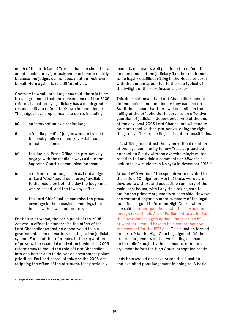much of the criticism of Truss is that she should have acted much more vigorously and much more quickly because the judges cannot speak out on their own behalf. Here again I take a different view.

Contrary to what Lord Judge has said, there is fairly broad agreement that one consequence of the 2005 reforms is that today's judiciary has a much greater responsibility to defend their own independence. The judges have ample means to do so, including:

- (a) an intervention by a senior judge
- (b) a 'media panel' of judges who are trained to speak publicly on controversial issues of public salience
- (c) the Judicial Press Office can pro-actively engage with the media in ways akin to the Supreme Court's communication team
- (d) a retired senior judge such as Lord Judge or Lord Woolf could be a 'proxy' available to the media on both the day the judgment was released, and the few days after
- (e) the Lord Chief Justice can raise the press coverage in the occasional meetings that he has with newspaper editors

For better or worse, the basic point of the 2005 Act was in effect to standardise the office of the Lord Chancellor so that he or she would take a governmental line on matters relating to the judicial system. For all of the references to the separation of powers, the essential motivation behind the 2005 reforms was to mould the role of Lord Chancellor into one better able to deliver on government policy priorities. Part and parcel of this was the 2005 Act stripping the office of the attributes that previously

made its occupants well positioned to defend the independence of the judiciary (i.e. the requirement to be legally qualified, sitting in the House of Lords, with the person appointed to the role typically in the twilight of their professional career).

This does not mean that Lord Chancellors cannot defend judicial independence; they can and do. But it does mean that there will be limits on the ability of the officeholder to serve as an effective guardian of judicial independence. And at the end of the day, post-2005 Lord Chancellors will tend to be more reactive than pro-active, doing the right thing, only after exhausting all the other possibilities.

It is striking to contrast the hyper-critical reaction of the legal community to how Truss approached her section 3 duty with the overwhelmingly muted reaction to Lady Hale's comments on *Miller* in a lecture to law students in Malaysia in November 2016.36

Around 600 words of the speech were devoted to the article 50 litigation. Most of these words are devoted to a short and accessible summary of the main legal issues, with Lady Hale taking care to outline the primary arguments of each side. However, she ventured beyond a mere summary of the legal questions argued before the High Court, when she said 'another question is whether it would be enough for a simple Act of Parliament to authorise the government to give notice [under article 50], or whether it would have to be a comprehensive replacement for the 1972 Act'. This question formed no part of: (a) the High Court's judgment, (b) the skeleton arguments of the two leading claimants; (c) the relief sought by the claimants; or (d) oral argument before the High Court, except indirectly.

Lady Hale should not have raised this question, and exhibited poor judgement in doing so. A basic

**<sup>36</sup> https://www.supremecourt.uk/docs/speech-161109.pdf**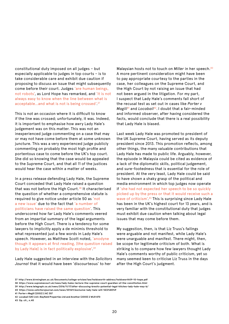constitutional duty imposed on all judges – but especially applicable to judges in top courts – is to take considerable care and exhibit due caution if proposing to discuss an issue that might subsequently come before their court. Judges 'are human beings, not robots', as Lord Hope has remarked, and 'it is not always easy to know when the line between what is acceptable...and what is not is being crossed<sup>', 37</sup>

This is not an occasion where it is difficult to know if the line was crossed; unfortunately, it was. Indeed, it is important to emphasise how awry Lady Hale's judgement was on this matter. This was not an inexperienced judge commenting on a case that may or may not have come before them at some unknown juncture. This was a very experienced judge publicly commenting on probably the most high profile and portentous case to come before the UK's top court. She did so knowing that the case would be appealed to the Supreme Court, and that all 11 of the justices would hear the case within a matter of weeks.

In a press release defending Lady Hale, the Supreme Court conceded that Lady Hale raised a question that was not before the High Court. $38$  It characterised the question of whether a comprehensive statute is required to give notice under article 50 as 'not a new issue' due to the fact that 'a number of politicians have raised the same question'. This underscored how far Lady Hale's comments veered from an impartial summary of the legal arguments before the High Court. There is a tendency for some lawyers to implicitly apply a de minimis threshold to what represented just a few words in Lady Hale's speech. However, as Matthew Scott noted, 'anodyne though it appears at first reading, [the question raised by Lady Hale] is in fact politically explosive'.<sup>39</sup>

Lady Hale suggested in an interview with the *Solicitors Journal* that it would have been 'discourteous' to her

Malaysian hosts not to touch on *Miller* in her speech.40 A more pertinent consideration might have been to pay appropriate courtesy to the parties in the case, her colleagues on the Supreme Court, and the High Court by not raising an issue that had not been argued in the litigation. For my part, I suspect that Lady Hale's comments fall short of the recusal test as set out in cases like *Porter v Magill*41 and *Locabail*42. I doubt that a fair-minded and informed observer, after having considered the facts, would conclude that there is a real possibility that Lady Hale is biased.

Last week Lady Hale was promoted to president of the UK Supreme Court, having served as its deputy president since 2013. This promotion reflects, among other things, the many valuable contributions that Lady Hale has made to public life. Arguably, however, the episode in Malaysia could be cited as evidence of a lack of the diplomatic skills, political judgement, and sure-footedness that is essential for the role of president. At the very least, Lady Hale could be said to have shown a shaky grasp of the political and media environment in which top judges now operate if 'she had not expected her speech to be so quickly picked up by the press or that it would receive such a wave of criticism'.<sup>43</sup> This is surprising since Lady Hale has been in the UK's highest court for 13 years, and is very familiar with the constitutional duty that judges must exhibit due caution when talking about legal issues that may come before them.

My suggestion, then, is that Liz Truss's failings were arguable and not manifest, while Lady Hale's were unarguable and manifest. There might, then, be scope for legitimate criticism of both. What is striking is to compare how few lawyers thought Lady Hale's comments worthy of public criticism, yet so many seemed keen to criticise Liz Truss in the days after the High Court's judgment.

**<sup>37</sup> http://www.birmingham.ac.uk/Documents/college-artslaw/law/holdsworth-address/holdsworth09-10-hope.pdf** 

**<sup>38</sup> https://www.supremecourt.uk/news/lady-hales-lecture-the-supreme-court-guardian-of-the-constitution.html** 

**<sup>39</sup> http://www.telegraph.co.uk/news/2016/11/17/after-discussing-brexits-potential-legal-hitches-lady-hale-may-b/** 

**<sup>40</sup> https://www.solicitorsjournal.com/news/201611/exclusive-lady-hale-will-%E2%80%9** 

**<sup>41</sup> Porter v Magill [2002] 2 AC 357** 

**<sup>42</sup> Locabail (UK) Ltd v Bayfield Properties Ltd and Another [2000] 2 WLR 870**

**<sup>43</sup> Op. cit., n.40**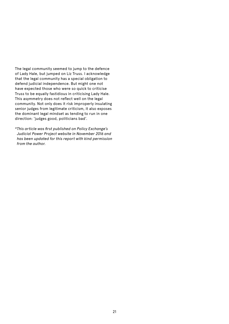The legal community seemed to jump to the defence of Lady Hale, but jumped on Liz Truss. I acknowledge that the legal community has a special obligation to defend judicial independence. But might one not have expected those who were so quick to criticise Truss to be equally fastidious in criticising Lady Hale. This asymmetry does not reflect well on the legal community. Not only does it risk improperly insulating senior judges from legitimate criticism, it also exposes the dominant legal mindset as tending to run in one direction: 'judges good, politicians bad'.

*\*This article was first published on Policy Exchange's Judicial Power Project website in November 2016 and has been updated for this report with kind permission from the author.*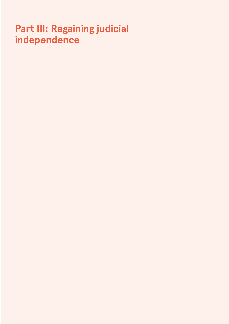# **Part III: Regaining judicial independence**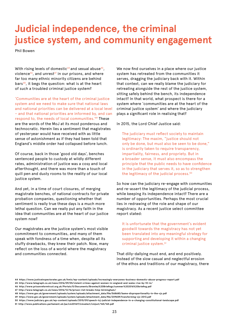# **Judicial independence, the criminal justice system, and community engagement**

Phil Bowen

With rising levels of domestic<sup>44</sup> and sexual abuse<sup>45</sup>, violence<sup>46</sup>, and unrest<sup>47</sup> in our prisons, and where far too many ethnic minority citizens are behind bars<sup>48</sup>, it begs the question: what is at the heart of such a troubled criminal justice system?

'Communities are at the heart of the criminal justice system and we need to make sure that national laws and national priorities can be delivered at a local level – and that national priorities are informed by, and can respond to, the needs of local communities.'49 These are the words of the MoJ at its most ponderous and technocratic. Herein lies a sentiment that magistrates of yesteryear would have received with as little sense of astonishment as if they had been told that England's middle order had collapsed before lunch.

Of course, back in those 'good old days', benches sentenced people to custody at wildly different rates, administration of justice was a cosy and local afterthought, and there was more than a touch of quill pen and dusty rooms to the reality of our local justice system.

And yet, in a time of court closures, of merging magistrate benches, of national contracts for private probation companies, questioning whether that sentiment is really true these days is a much more lethal question. Can we really put any faith in the idea that communities are at the heart of our justice system now?

Our magistrates are the justice system's most visible commitment to communities, and many of them speak with fondness of a time when, despite all its stuffy drawbacks, they knew their patch. Now, many reflect on the loss of a world where the magistracy and communities connected.

We now find ourselves in a place where our justice system has retreated from the communities it serves, dragging the judiciary back with it. Within that context, can we really blame the judiciary for retreating alongside the rest of the justice system, sitting safely behind the bench, its independence intact? In that world, what prospect is there for a system where 'communities are at the heart of the criminal justice system' and where the judiciary plays a significant role in realising that?

In 2015, the Lord Chief Justice said:

The judiciary must reflect society to maintain legitimacy: The maxim, "justice should not only be done, but must also be seen to be done," is ordinarily taken to require transparency, impartiality, fairness, and propriety. But in a broader sense, it must also encompass the principle that the public needs to have confidence in the judiciary that serves it, so as to strengthen the legitimacy of the judicial process.<sup>50</sup>

So how can the judiciary re-engage with communities and re-assert the legitimacy of the judicial process, while keeping its independence intact? There are a number of opportunities. Perhaps the most crucial lies in redrawing of the role and shape of our magistracy. As a recent justice select committee report stated:

It is unfortunate that the government's evident goodwill towards the magistracy has not yet been translated into any meaningful strategy for supporting and developing it within a changing criminal justice system.51

That dilly-dallying must end, and end positively. Instead of the slow casual and neglectful erosion of the ethos and traditions of our magistracy, there

**46 http://www.prisonreformtrust.org.uk/Portals/0/Documents/Bromley%20Briefings/summer%202016%20briefing.pdf** 

**<sup>44</sup> https://www.justiceinspectorates.gov.uk/hmic/wp-content/uploads/increasingly-everyones-business-domestic-abuse-progress-report.pdf** 

**<sup>45</sup> http://www.telegraph.co.uk/news/2016/09/05/violent-crimes-against-women-in-england-and-wales-rise-by-10-in/** 

**<sup>47</sup> http://www.telegraph.co.uk/news/2016/12/16/prison-riot-breaks-hmp-birmingham/** 

**<sup>48</sup> https://www.gov.uk/government/uploads/system/uploads/attachment\_data/file/568680/bame-disproportionality-in-the-cjs.pdf** 

**<sup>49</sup> https://www.gov.uk/government/uploads/system/uploads/attachment\_data/file/209659/transforming-cjs-2013.pdf** 

**<sup>50</sup> https://www.judiciary.gov.uk/wp-content/uploads/2015/09/speech-lcj-judicial-independence-in-a-changing-constitutional-landscape.pdf** 

**<sup>51</sup> http://www.publications.parliament.uk/pa/cm201617/cmselect/cmjust/165/165.pdf**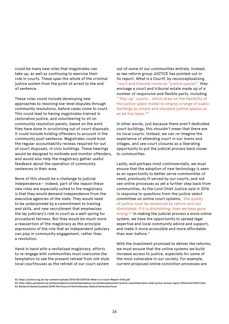could be many new roles that magistrates can take up, as well as continuing to exercise their role in courts. These span the whole of the criminal justice system from the point of arrest to the end of sentence.

These roles could include developing new approaches to resolving low-level disputes through community resolutions, before cases come to court. This could lead to having magistrates trained in restorative justice, and volunteering to sit on community resolution panels, based on the work they have done in scrutinising out of court disposals. It could include holding offenders to account in the community post-sentence. Magistrates could hold the regular accountability reviews required for out of court disposals, in civic buildings. These hearings would be designed to motivate and monitor offenders, and would also help the magistracy gather useful feedback about the operation of community sentences in their area.

None of this should be a challenge to judicial independence – indeed, part of the reason these new roles are especially suited to the magistracy is that they would demand independence from the executive agencies of the state. They would need to be underpinned by a commitment to training and skills, and new recruitment that emphasises the lay judiciary's role in court as a well-spring for procedural fairness. But they would be much more a reassertion of the magistracy as the principle expressions of the role that an independent judiciary can play in community engagement, rather than a revolution.

Hand in hand with a revitalised magistracy, efforts to re-engage with communities must overcome the temptation to see the present retreat from old-style local courthouses as the retreat of our court system

out of some of our communities entirely. Instead, as law reform group JUSTICE has pointed out in its report, *What is a Court?*, by reconceptualising 'court and tribunal rooms as "justice spaces",' they envisage a court and tribunal estate made up of a number of responsive and flexible parts, including '"Pop-up" courts… which draw on the flexibility of the justice space model to employ a range of public buildings as simple and standard justice spaces on an ad hoc basis.'52

In other words, just because there aren't dedicated court buildings, this shouldn't mean that there are no local courts. Instead, we can re-imagine the experience of attending court in our towns and villages, and see court closures as a liberating opportunity to put the judicial process back closer to communities.

Lastly, and perhaps most controversially, we must ensure that the adoption of new technology is seen as an opportunity to better serve communities of need, previously ill served by our courts, and not see online processes as yet a further step back from communities. As the Lord Chief Justice said in 2016 in response to questions from the justice select committee on online court systems, 'the quality of justice must be enhanced by reform and not diminished. If it is diminishing, then we have gone wrong'. 53 In making the judicial process a more online system, we have the opportunity to spread legal expertise and local community advice and support, and make it more accessible and more affordable than ever before.<sup>54</sup>

With the investment promised to deliver the reforms, we must ensure that the online systems we build increase access to justice, especially for some of the most vulnerable in our society. For example, current proposed online conviction processes are

**<sup>52</sup> https://justice.org.uk/wp-content/uploads/2016/05/JUSTICE-What-is-a-Court-Report-2016.pdf** 

**<sup>53</sup> http://data.parliament.uk/writtenevidence/committeeevidence.svc/evidencedocument/justice-committee/lord-chief-justice-annual-report-2016/oral/43679.html 54 Richard & Daniel Susskind (2015) The Future of the Professions (Oxford University Press)**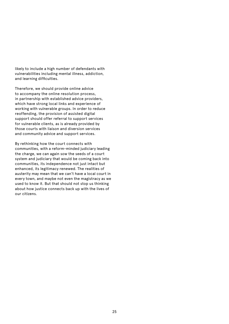likely to include a high number of defendants with vulnerabilities including mental illness, addiction, and learning difficulties.

Therefore, we should provide online advice to accompany the online resolution process, in partnership with established advice providers, which have strong local links and experience of working with vulnerable groups. In order to reduce reoffending, the provision of assisted digital support should offer referral to support services for vulnerable clients, as is already provided by those courts with liaison and diversion services and community advice and support services.

By rethinking how the court connects with communities, with a reform-minded judiciary leading the charge, we can again sow the seeds of a court system and judiciary that would be coming back into communities, its independence not just intact but enhanced, its legitimacy renewed. The realities of austerity may mean that we can't have a local court in every town, and maybe not even the magistracy as we used to know it. But that should not stop us thinking about how justice connects back up with the lives of our citizens.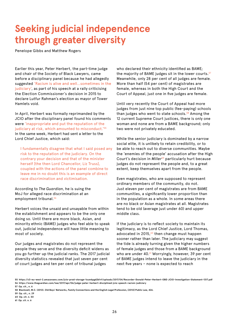# **Seeking judicial independence through greater diversity**

Penelope Gibbs and Matthew Rogers

Earlier this year, Peter Herbert, the part-time judge and chair of the Society of Black Lawyers, came before a disciplinary panel because he had allegedly suggested 'Racism is alive and well…sometimes in the judiciary', as part of his speech at a rally criticising the Election Commissioner's decision in 2015 to declare Lutfur Rahman's election as mayor of Tower Hamlets void.

In April, Herbert was formally reprimanded by the JCIO after the disciplinary panel found his comments were 'inappropriate and put the reputation of the judiciary at risk, which amounted to misconduct.<sup>'55</sup> In the same week, Herbert had sent a letter to the Lord Chief Justice, which said:

I fundamentally disagree that what I said posed any risk to the reputation of the judiciary. On the contrary your decision and that of the minister herself [the then Lord Chancellor, Liz Truss], coupled with the actions of the panel combine to leave me in no doubt this is an example of direct race discrimination and victimisation.

According to *The Guardian*, he is suing the MoJ for alleged race discrimination at an employment tribunal.<sup>56</sup>

Herbert voices the unsaid and unsayable from within the establishment and appears to be the only one doing so. Until there are more black, Asian, and minority ethnic (BAME) judges who feel able to speak out, judicial independence will have little meaning to most of society.

Our judges and magistrates do not represent the people they serve and the diversity deficit widens as you go further up the judicial ranks. The 2017 judicial diversity statistics revealed that just seven per cent of court judges and ten per cent of tribunal judges

who declared their ethnicity identified as BAME; the majority of BAME judges sit in the lower courts.<sup>57</sup> Meanwhile, only 28 per cent of all judges are female. More than half (54 per cent) of magistrates are female, whereas in both the High Court and the Court of Appeal, just one in five judges are female.

Until very recently the Court of Appeal had more judges from just nine top public (fee-paying) schools than judges who went to state schools. $58$  Among the 12 current Supreme Court justices, there is only one woman and none are from a BAME background; only two were not privately educated.

While the senior judiciary is dominated by a narrow social elite, it is unlikely to retain credibility, or to be able to reach out to diverse communities. Maybe the 'enemies of the people' accusation after the High Court's decision in *Miller*59 particularly hurt because judges do not represent the people and, to a great extent, keep themselves apart from the people.

Even magistrates, who are supposed to represent ordinary members of the community, do not. Just eleven per cent of magistrates are from BAME communities, a significantly lower proportion than in the population as a whole. In some areas there are no black or Asian magistrates at all. Magistrates tend to be old (average just under 60) and upper middle class.

If the judiciary is to reflect society to maintain its legitimacy, as the Lord Chief Justice, Lord Thomas, advocated in 2015, $60$  then change must happen sooner rather than later. The judiciary may suggest the tide is already turning given the higher numbers of female judges and those from a BAME background who are under  $40.^{61}$  Worryingly, however, 39 per cent of BAME judges intend to leave the judiciary in the next five years – none is expected to reach

**<sup>55</sup> https://s3-eu-west-2.amazonaws.com/jcio-prod-storage-1xuw6pgd2b1rf/uploads/2017/04/Recorder-Donald-Peter-Herbert-OBE-JCIO-Investigation-Statement-1317.pdf 56 https://www.theguardian.com/law/2017/apr/06/judge-peter-herbert-disciplined-jcio-speech-racism-judiciary** 

**<sup>57</sup> Op. cit., n. 6**

**<sup>58</sup> Blackwell, M.C. (2012). Old Boys' Networks, Family Connections and the English Legal Profession, [2012] Public Law, 426.**

**<sup>59</sup> Op. cit., n. 29** 

**<sup>60</sup> Op. cit. n. 50**

**<sup>61</sup> Op. cit. n. 6**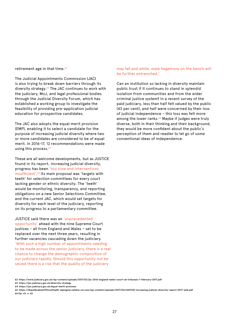retirement age in that time. $62$ 

The Judicial Appointments Commission (JAC) is also trying to break down barriers through its diversity strategy.63 The JAC continues to work with the judiciary, MoJ, and legal professional bodies through the Judicial Diversity Forum, which has established a working group to investigate the feasibility of providing pre-application judicial education for prospective candidates.

The JAC also adopts the equal merit provision (EMP), enabling it to select a candidate for the purpose of increasing judicial diversity where two or more candidates are considered to be of equal merit. In 2016-17, 12 recommendations were made using this process.<sup>64</sup>

These are all welcome developments, but as JUSTICE found in its report, increasing judicial diversity, progress has been 'too slow and interventions insufficient'.<sup>65</sup> Its main proposal was 'targets with teeth' for selection committees for every court lacking gender or ethnic diversity. The 'teeth' would be monitoring, transparency, and reporting obligations on a new Senior Selections Committee, and the current JAC, which would set targets for diversity for each level of the judiciary, reporting on its progress to a parliamentary committee.

JUSTICE said there was an 'unprecedented opportunity' ahead with the nine Supreme Court justices – all from England and Wales – set to be replaced over the next three years, resulting in further vacancies cascading down the judiciary. 'With such a high number of appointments needing to be made across the senior judiciary, there is a real chance to change the demographic composition of our judiciary rapidly. Should this opportunity not be seized there is a risk that the quality of the judiciary

#### may fall and white, male hegemony on the bench will be further entrenched.'

Can an institution so lacking in diversity maintain public trust if it continues to stand in splendid isolation from communities and from the wider criminal justice system? In a recent survey of the paid judiciary, less than half felt valued by the public (43 per cent), and half were concerned by their loss of judicial independence – this loss was felt more among the lower ranks.<sup>66</sup> Maybe if judges were truly diverse, both in their thinking and their background, they would be more confident about the public's perception of them and readier to let go of some conventional ideas of independence.

**64 https://jac.judiciary.gov.uk/equal-merit-provision** 

**<sup>62</sup> https://www.judiciary.gov.uk/wp-content/uploads/2017/02/jas-2016-england-wales-court-uk-tribunals-7-february-2017.pdf** 

**<sup>63</sup> https://jac.judiciary.gov.uk/diversity-strategy** 

**<sup>65</sup> https://2bquk8cdew6192tsu41lay8t-wpengine.netdna-ssl.com/wp-content/uploads/2017/04/JUSTICE-Increasing-judicial-diversity-report-2017-web.pdf 66 Op. cit. n. 62**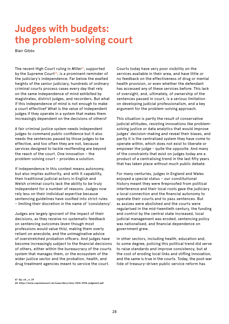# **Judges with budgets: the problem-solving court**

Blair Gibbs

The recent High Court ruling in *Miller<sup>67</sup>*, supported by the Supreme Court<sup>68</sup>, is a prominent reminder of the judiciary's independence. Far below the exalted heights of the senior judiciary, hundreds of ordinary criminal courts process cases every day that rely on the same independence of mind exhibited by magistrates, district judges, and recorders. But what if this independence of mind is not enough to make a court effective? What is the value of independent judges if they operate in a system that makes them increasingly dependent on the decisions of others?

A fair criminal justice system needs independent judges to command public confidence but it also needs the sentences passed by those judges to be effective, and too often they are not, because services designed to tackle reoffending are beyond the reach of the court. One innovation – the problem-solving court – provides a solution.

If independence in this context means autonomy, but also implies authority, and with it capability, then traditional judicial actors in English and Welsh criminal courts lack the ability to be truly independent for a number of reasons. Judges now rely less on their individual expertise because sentencing guidelines have ossified into strict rules – limiting their discretion in the name of 'consistency'.

Judges are largely ignorant of the impact of their decisions, as they receive no systematic feedback on sentencing outcomes (even though most professions would value this), making them overly reliant on anecdote, and the unimaginative advice of overstretched probation officers. And judges have become increasingly subject to the financial decisions of others, either within the bureaucracy of the courts system that manages them, or the ecosystem of the wider justice sector and the probation, health, and drug treatment agencies meant to service the court.

Courts today have very poor visibility on the services available in their area, and have little or no feedback on the effectiveness of drug or mental health provision, or even whether the defendant has accessed any of these services before. This lack of oversight, and, ultimately, of ownership of the sentences passed in court, is a serious limitation on developing judicial professionalism, and a key argument for the problem-solving approach.

This situation is partly the result of conservative judicial attitudes, resisting innovations like problemsolving justice or data analytics that would improve judges' decision-making and reveal their biases, and partly it is the centralised system they have come to operate within, which does not exist to liberate or empower the judge - quite the opposite. And many of the constraints that exist on judges today are a product of a centralising trend in the last fifty years that has taken place without much public debate.

For many centuries, judges in England and Wales enjoyed a special status – our constitutional history meant they were fireproofed from political interference and their local roots gave the judiciary a local connection and the financial autonomy to operate their courts and to pass sentences. But as assizes were abolished and the courts were regularised in the mid-twentieth century, the funding and control by the central state increased, local judicial management was eroded, sentencing policy was nationalised, and financial dependence on government grew.

In other sectors, including health, education and, to some degree, policing this political trend did serve to raise standards and improve consistency, but at the cost of eroding local links and stifling innovation, and the same is true in the courts. Today, the post-war tide of treasury-driven public service reform has

**67 Op. cit., n. 29 68 https://www.supremecourt.uk/cases/docs/uksc-2016-0196-judgment.pdf**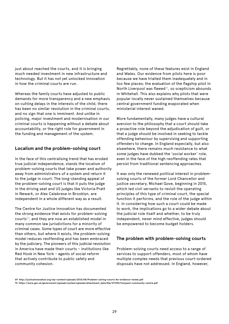just about reached the courts, and it is bringing much needed investment in new infrastructure and technology. But it has not yet unlocked innovation in how the criminal courts are run.

Whereas the family courts have adjusted to public demands for more transparency and a new emphasis on cutting delays in the interests of the child, there has been no similar revolution in the criminal courts, and no sign that one is imminent. And unlike in policing, major investment and modernisation in our criminal courts is happening without a debate about accountability, or the right role for government in the funding and management of the system.

#### **Localism and the problem-solving court**

In the face of this centralising trend that has eroded true judicial independence, stands the localism of problem-solving courts that take power and authority away from administrators of a system and return it to the judge in court. The long-standing appeal of the problem-solving court is that it puts the judge in the driving seat and US judges like Victoria Pratt in Newark, or Alex Calabrese in Brooklyn, are independent in a whole different way as a result.

The Centre for Justice Innovation has documented the strong evidence that exists for problem-solving courts<sup>69</sup>, and they are now an established model in many common law jurisdictions for a minority of criminal cases. Some types of court are more effective than others, but where it exists, the problem-solving model reduces reoffending and has been embraced by the judiciary. The pioneers of this judicial revolution in America have made their courts – institutions like Red Hook in New York – agents of social reform that actively contribute to public safety and community cohesion.

Regrettably, none of these features exist in England and Wales. Our evidence from pilots here is poor because we have trialled them inadequately and in too few places; the evaluation of the flagship pilot in North Liverpool was flawed<sup>70</sup>, so scepticism abounds in Whitehall. This also explains why pilots that were popular locally never sustained themselves because central government funding evaporated when ministerial interest waned.

More fundamentally, many judges have a cultural aversion to the philosophy that a court should take a proactive role beyond the adjudication of guilt, or that a judge should be involved in seeking to tackle offending behaviour by supervising and supporting offenders to change. In England especially, but also elsewhere, there remains much resistance to what some judges have dubbed the 'social worker' role, even in the face of the high reoffending rates that persist from traditional sentencing approaches.

It was only the renewed political interest in problemsolving courts of the former Lord Chancellor and justice secretary, Michael Gove, beginning in 2015, which led civil servants to revisit the operating principles of this type of criminal court, the special function it performs, and the role of the judge within it. In considering how such a court could be made to work, the implications go to a wider debate about the judicial role itself and whether, to be truly independent, never mind effective, judges should be empowered to become budget holders.

#### **The problem with problem-solving courts**

Problem-solving courts need access to a range of services to support offenders, most of whom have multiple complex needs that previous court-ordered disposals have not addressed. In England, however,

**<sup>69</sup> http://justiceinnovation.org/wp-content/uploads/2016/08/Problem-solving-courts-An-evidence-review.pdf** 

**<sup>70</sup> https://www.gov.uk/government/uploads/system/uploads/attachment\_data/file/217393/liverpool-community-centre.pdf**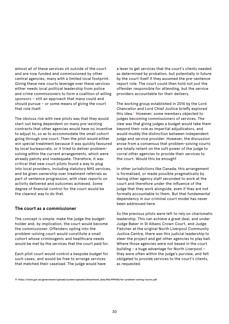almost all of these services sit outside of the court and are now funded and commissioned by other central agencies, many with a limited local footprint. Giving these new courts leverage over these services either needs local political leadership from police and crime commissioners to form a coalition of willing sponsors – still an approach that many could and should pursue – or some means of giving the court that role itself.

The obvious risk with new pilots was that they would start out being dependent on many pre-existing contracts that other agencies would have no incentive to adjust to, so as to accommodate the small cohort going through one court. Then the pilot would either win special treatment because it was quickly favoured by local bureaucrats; or it tried to deliver problemsolving within the current arrangements, which were already patchy and inadequate. Therefore, it was critical that new court pilots found a way to plug into local providers, including statutory NHS services, and be given ownership over treatment referrals as part of sentence progression, with clear reports on activity delivered and outcomes achieved. Some degree of financial control for the court would be the clearest way to do that.

#### **The court as a commissioner**

The concept is simple: make the judge the budgetholder and, by implication, the court would become the commissioner. Offenders opting into the problem-solving court would constitute a small cohort whose criminogenic and healthcare needs would be met by the services that the court paid for.

Each pilot court would control a bespoke budget for such cases, and would be free to arrange services that matched their caseload. The judge would have

a lever to get services that the court's clients needed as determined by probation, but potentially in future by the court itself if they assumed the pre-sentence report role. The court could then hold not just the offender responsible for attending, but the service providers accountable for their delivery.

The working group established in 2016 by the Lord Chancellor and Lord Chief Justice briefly explored this idea.<sup>71</sup> However, some members objected to judges becoming commissioners of services. The view was that giving judges a budget would take them beyond their role as impartial adjudicators, and would muddy the distinction between independent judge and service provider. However, the discussion arose from a consensus that problem-solving courts are totally reliant on the soft power of the judge to corral other agencies to provide their services to the court. Would this be enough?

In other jurisdictions like Canada, this arrangement is formalised, or made possible pragmatically by having other agency staff seconded to work at the court and therefore under the influence of the judge that they work alongside, even if they are not formally accountable to them. But that fundamental dependency in our criminal court model has never been addressed here.

So the previous pilots were left to rely on charismatic leadership. This can achieve a great deal, and under Judge Baker in St Albans Crown Court, and Judge Fletcher at the original North Liverpool Community Justice Centre, there was this judicial leadership to steer the project and get other agencies to play ball. Where those agencies were not based in the court building – a huge advantage for North Liverpool – they were often within the judge's purview, and felt obligated to provide services to the court's clients, as requested.

**71 https://www.gov.uk/government/uploads/system/uploads/attachment\_data/file/499465/tor-problem-solving-courts.pdf**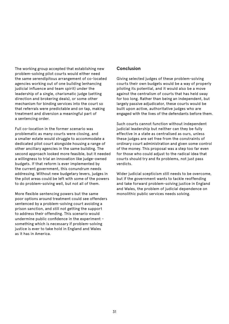The working group accepted that establishing new problem-solving pilot courts would either need the same serendipitous arrangement of co-located agencies working out of one building (enhancing judicial influence and team spirit) under the leadership of a single, charismatic judge (setting direction and brokering deals), or some other mechanism for binding services into the court so that referrals were predictable and on tap, making treatment and diversion a meaningful part of a sentencing order.

Full co-location in the former scenario was problematic as many courts were closing, and a smaller estate would struggle to accommodate a dedicated pilot court alongside housing a range of other ancillary agencies in the same building. The second approach looked more feasible, but it needed a willingness to trial an innovation like judge-owned budgets. If that reform is ever implemented by the current government, this conundrum needs addressing. Without new budgetary levers, judges in the pilot areas could be left with some of the powers to do problem-solving well, but not all of them.

More flexible sentencing powers but the same poor options around treatment could see offenders sentenced by a problem-solving court avoiding a prison sanction, and still not getting the support to address their offending. This scenario would undermine public confidence in the experiment – something which is necessary if problem-solving justice is ever to take hold in England and Wales as it has in America.

#### **Conclusion**

Giving selected judges of these problem-solving courts their own budgets would be a way of properly piloting its potential, and it would also be a move against the centralism of courts that has held sway for too long. Rather than being an independent, but largely passive adjudicator, these courts would be built upon active, authoritative judges who are engaged with the lives of the defendants before them.

Such courts cannot function without independent judicial leadership but neither can they be fully effective in a state as centralised as ours, unless these judges are set free from the constraints of ordinary court administration and given some control of the money. This proposal was a step too far even for those who could adjust to the radical idea that courts should try and fix problems, not just pass verdicts.

Wider judicial scepticism still needs to be overcome, but if the government wants to tackle reoffending and take forward problem-solving justice in England and Wales, the problem of judicial dependence on monolithic public services needs solving.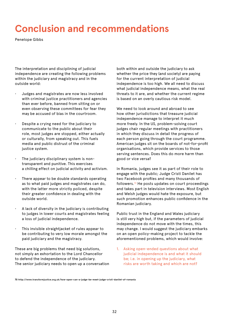# **Conclusion and recommendations**

Penelope Gibbs

The interpretation and disciplining of judicial independence are creating the following problems within the judiciary and magistracy and in the outside world:

- Judges and magistrates are now less involved with criminal justice practitioners and agencies than ever before, banned from sitting on or even observing these committees for fear they may be accused of bias in the courtroom.
- Despite a crying need for the judiciary to communicate to the public about their role, most judges are stopped, either actually or culturally, from speaking out. This fuels media and public distrust of the criminal justice system.
- The judiciary disciplinary system is nontransparent and punitive. This exercises a chilling effect on judicial activity and activism.
- There appear to be double standards operating as to what paid judges and magistrates can do, with the latter more strictly policed, despite their greater confidence in dealing with the outside world.
- A lack of diversity in the judiciary is contributing to judges in lower courts and magistrates feeling a loss of judicial independence.
- This invisible straightjacket of rules appear to be contributing to very low morale amongst the paid judiciary and the magistracy.

These are big problems that need big solutions, not simply an exhortation to the Lord Chancellor to defend the independence of the judiciary. The senior judiciary needs to open up a conversation

both within and outside the judiciary to ask whether the price they (and society) are paying for the current interpretation of judicial independence is too high. We all need to discuss what judicial independence means, what the real threats to it are, and whether the current regime is based on an overly cautious risk model.

We need to look around and abroad to see how other jurisdictions that treasure judicial independence manage to interpret it much more freely. In the US, problem-solving court judges chair regular meetings with practitioners in which they discuss in detail the progress of each person going through the court programme. American judges sit on the boards of not-for-profit organisations, which provide services to those serving sentences. Does this do more harm than good or vice versa?

In Romania, judges see it as part of their role to engage with the public; Judge Cristi Danilet has two Facebook profiles and many thousands of followers.72 He posts updates on court proceedings and takes part in television interviews. Most English and Welsh judges would hate the exposure, but such promotion enhances public confidence in the Romanian judiciary.

Public trust in the England and Wales judiciary is still very high but, if the parameters of judicial independence do not move with the times, this may change. I would suggest the judiciary embarks on an open policy-making project to tackle the aforementioned problems, which would involve:

1. Asking open-ended questions about what judicial independence is and what it should be; i.e. in opening up the judiciary, what risks are worth taking and which are not?

**71 http://www.transformjustice.org.uk/how-open-can-a-judge-be-meet-judge-cristi-danilet-of-romania 72**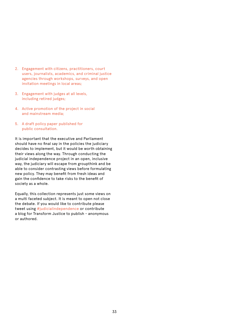- 2. Engagement with citizens, practitioners, court users, journalists, academics, and criminal justice agencies through workshops, surveys, and open invitation meetings in local areas;
- 3. Engagement with judges at all levels, including retired judges;
- 4. Active promotion of the project in social and mainstream media;
- 5. A draft policy paper published for public consultation.

It is important that the executive and Parliament should have no final say in the policies the judiciary decides to implement, but it would be worth obtaining their views along the way. Through conducting the judicial independence project in an open, inclusive way, the judiciary will escape from groupthink and be able to consider contrasting views before formulating new policy. They may benefit from fresh ideas and gain the confidence to take risks to the benefit of society as a whole.

Equally, this collection represents just some views on a multi faceted subject. It is meant to open not close the debate. If you would like to contribute please tweet using #judicialindependence or contribute a blog for Transform Justice to publish - anonymous or authored.